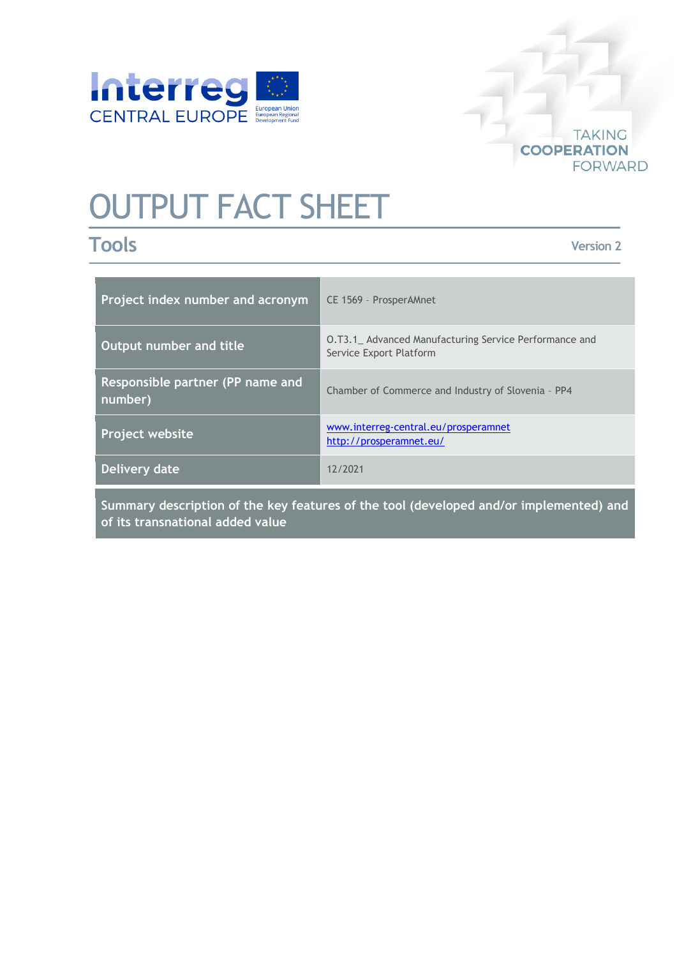

# **TAKING COOPERATION FORWARD**

# OUTPUT FACT SHEET

# **Tools**

**Version 2**

| Project index number and acronym                                                        | CE 1569 - ProsperAMnet                                                                  |
|-----------------------------------------------------------------------------------------|-----------------------------------------------------------------------------------------|
| Output number and title                                                                 | <b>0.T3.1</b> Advanced Manufacturing Service Performance and<br>Service Export Platform |
| Responsible partner (PP name and<br>number)                                             | Chamber of Commerce and Industry of Slovenia - PP4                                      |
| <b>Project website</b>                                                                  | www.interreg-central.eu/prosperamnet<br>http://prosperamnet.eu/                         |
| Delivery date                                                                           | 12/2021                                                                                 |
| Cummany description of the less factures of the teal (developed and/er implemented) and |                                                                                         |

**Summary description of the key features of the tool (developed and/or implemented) and of its transnational added value**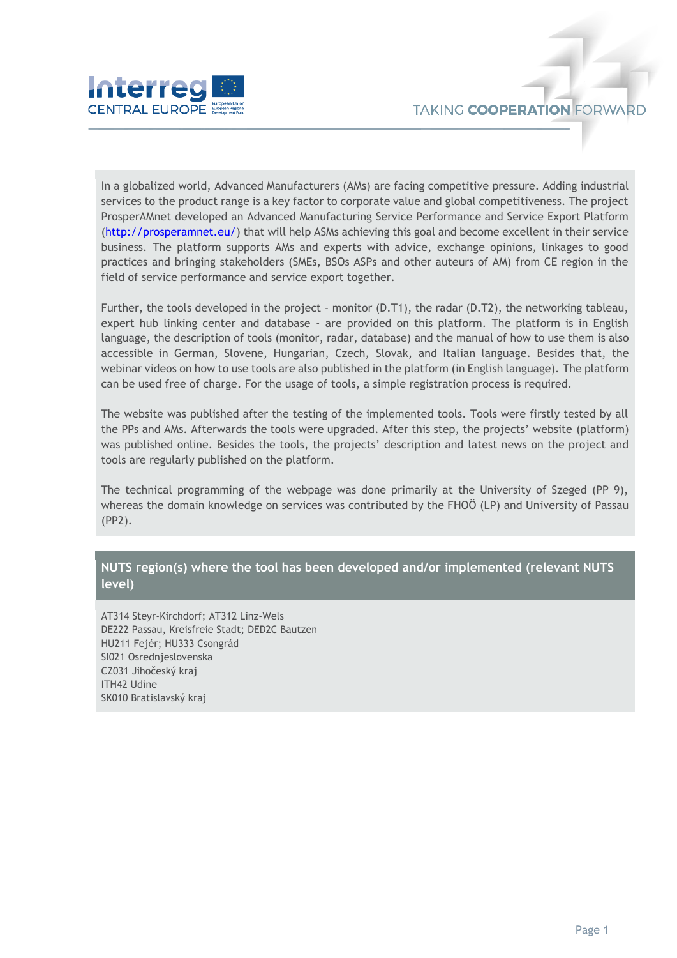

In a globalized world, Advanced Manufacturers (AMs) are facing competitive pressure. Adding industrial services to the product range is a key factor to corporate value and global competitiveness. The project ProsperAMnet developed an Advanced Manufacturing Service Performance and Service Export Platform [\(http://prosperamnet.eu/\)](http://prosperamnet.eu/) that will help ASMs achieving this goal and become excellent in their service business. The platform supports AMs and experts with advice, exchange opinions, linkages to good practices and bringing stakeholders (SMEs, BSOs ASPs and other auteurs of AM) from CE region in the field of service performance and service export together.

Further, the tools developed in the project - monitor (D.T1), the radar (D.T2), the networking tableau, expert hub linking center and database - are provided on this platform. The platform is in English language, the description of tools (monitor, radar, database) and the manual of how to use them is also accessible in German, Slovene, Hungarian, Czech, Slovak, and Italian language. Besides that, the webinar videos on how to use tools are also published in the platform (in English language). The platform can be used free of charge. For the usage of tools, a simple registration process is required.

The website was published after the testing of the implemented tools. Tools were firstly tested by all the PPs and AMs. Afterwards the tools were upgraded. After this step, the projects' website (platform) was published online. Besides the tools, the projects' description and latest news on the project and tools are regularly published on the platform.

The technical programming of the webpage was done primarily at the University of Szeged (PP 9), whereas the domain knowledge on services was contributed by the FHOÖ (LP) and University of Passau (PP2).

### **NUTS region(s) where the tool has been developed and/or implemented (relevant NUTS level)**

AT314 Steyr-Kirchdorf; AT312 Linz-Wels DE222 Passau, Kreisfreie Stadt; DED2C Bautzen HU211 Fejér; HU333 Csongrád SI021 Osrednjeslovenska CZ031 Jihočeský kraj ITH42 Udine SK010 Bratislavský kraj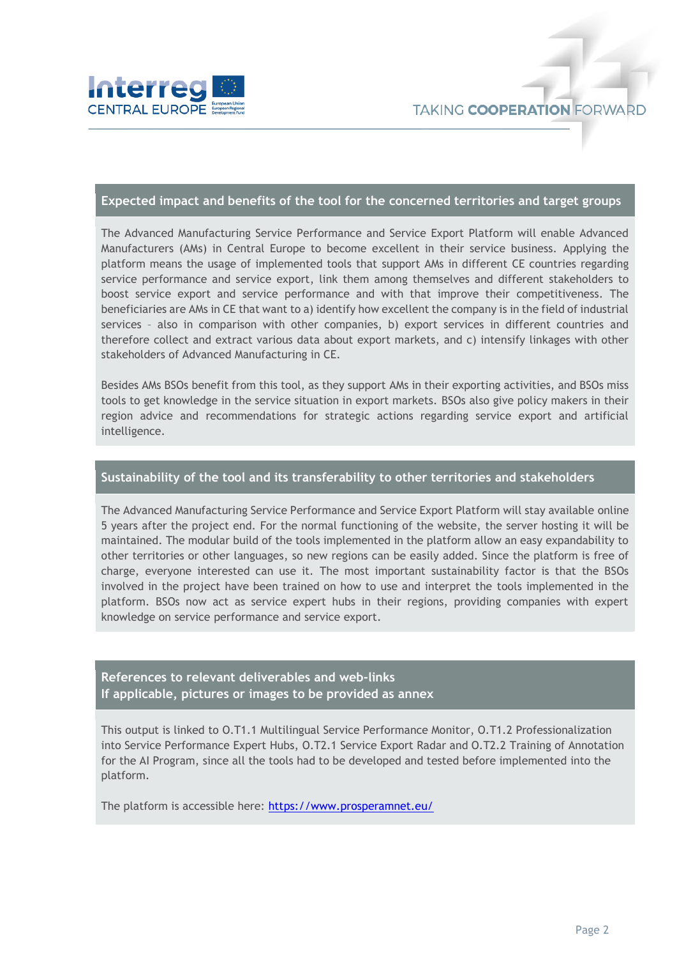

#### **Expected impact and benefits of the tool for the concerned territories and target groups**

The Advanced Manufacturing Service Performance and Service Export Platform will enable Advanced Manufacturers (AMs) in Central Europe to become excellent in their service business. Applying the platform means the usage of implemented tools that support AMs in different CE countries regarding service performance and service export, link them among themselves and different stakeholders to boost service export and service performance and with that improve their competitiveness. The beneficiaries are AMs in CE that want to a) identify how excellent the company is in the field of industrial services – also in comparison with other companies, b) export services in different countries and therefore collect and extract various data about export markets, and c) intensify linkages with other stakeholders of Advanced Manufacturing in CE.

Besides AMs BSOs benefit from this tool, as they support AMs in their exporting activities, and BSOs miss tools to get knowledge in the service situation in export markets. BSOs also give policy makers in their region advice and recommendations for strategic actions regarding service export and artificial intelligence.

#### **Sustainability of the tool and its transferability to other territories and stakeholders**

The Advanced Manufacturing Service Performance and Service Export Platform will stay available online 5 years after the project end. For the normal functioning of the website, the server hosting it will be maintained. The modular build of the tools implemented in the platform allow an easy expandability to other territories or other languages, so new regions can be easily added. Since the platform is free of charge, everyone interested can use it. The most important sustainability factor is that the BSOs involved in the project have been trained on how to use and interpret the tools implemented in the platform. BSOs now act as service expert hubs in their regions, providing companies with expert knowledge on service performance and service export.

## **References to relevant deliverables and web-links If applicable, pictures or images to be provided as annex**

This output is linked to O.T1.1 Multilingual Service Performance Monitor, O.T1.2 Professionalization into Service Performance Expert Hubs, O.T2.1 Service Export Radar and O.T2.2 Training of Annotation for the AI Program, since all the tools had to be developed and tested before implemented into the platform.

The platform is accessible here:<https://www.prosperamnet.eu/>